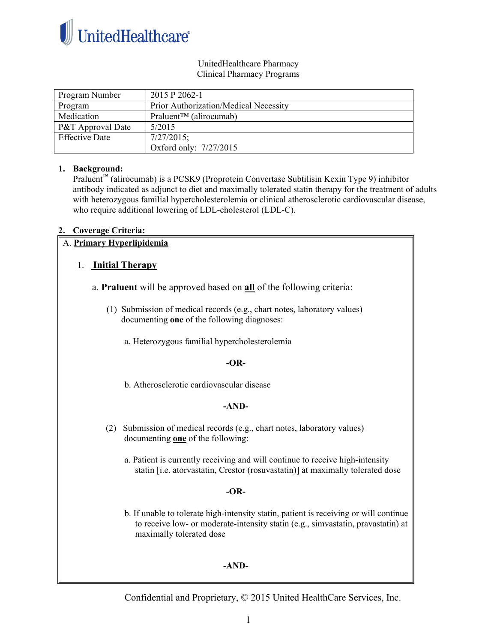

#### UnitedHealthcare Pharmacy Clinical Pharmacy Programs

| Program Number        | 2015 P 2062-1                                    |
|-----------------------|--------------------------------------------------|
| Program               | Prior Authorization/Medical Necessity            |
| Medication            | Praluent <sup><math>TM</math></sup> (alirocumab) |
| P&T Approval Date     | 5/2015                                           |
| <b>Effective Date</b> | $7/27/2015$ ;                                    |
|                       | Oxford only: 7/27/2015                           |

#### **1. Background:**

Praluent™ (alirocumab) is a PCSK9 (Proprotein Convertase Subtilisin Kexin Type 9) inhibitor antibody indicated as adjunct to diet and maximally tolerated statin therapy for the treatment of adults with heterozygous familial hypercholesterolemia or clinical atherosclerotic cardiovascular disease, who require additional lowering of LDL-cholesterol (LDL-C).

#### **2. Coverage Criteria:**

#### A. **Primary Hyperlipidemia**

## 1. **Initial Therapy**

- a. **Praluent** will be approved based on **all** of the following criteria:
	- (1) Submission of medical records (e.g., chart notes, laboratory values) documenting **one** of the following diagnoses:

a. Heterozygous familial hypercholesterolemia

#### **-OR-**

b. Atherosclerotic cardiovascular disease

## **-AND-**

- (2) Submission of medical records (e.g., chart notes, laboratory values) documenting **one** of the following:
	- a. Patient is currently receiving and will continue to receive high-intensity statin [i.e. atorvastatin, Crestor (rosuvastatin)] at maximally tolerated dose

#### **-OR-**

 b. If unable to tolerate high-intensity statin, patient is receiving or will continue to receive low- or moderate-intensity statin (e.g., simvastatin, pravastatin) at maximally tolerated dose

#### **-AND-**

Confidential and Proprietary, © 2015 United HealthCare Services, Inc.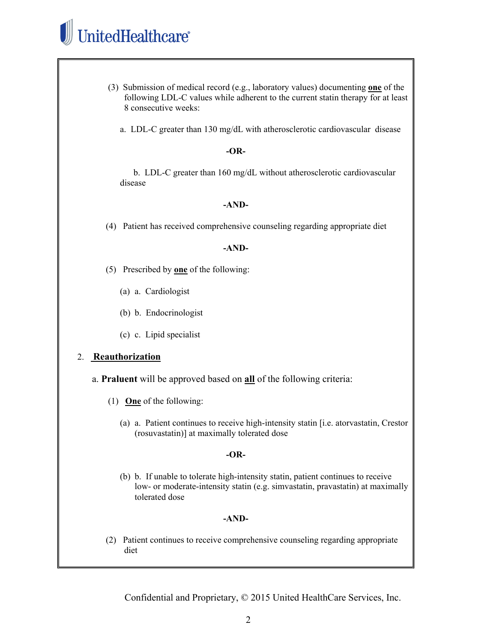# UnitedHealthcare®

- (3) Submission of medical record (e.g., laboratory values) documenting **one** of the following LDL-C values while adherent to the current statin therapy for at least 8 consecutive weeks:
	- a. LDL-C greater than 130 mg/dL with atherosclerotic cardiovascular disease

#### **-OR-**

 b. LDL-C greater than 160 mg/dL without atherosclerotic cardiovascular disease

#### **-AND-**

(4) Patient has received comprehensive counseling regarding appropriate diet

#### **-AND-**

- (5) Prescribed by **one** of the following:
	- (a) a. Cardiologist
	- (b) b. Endocrinologist
	- (c) c. Lipid specialist

## 2. **Reauthorization**

- a. **Praluent** will be approved based on **all** of the following criteria:
	- (1) **One** of the following:
		- (a) a. Patient continues to receive high-intensity statin [i.e. atorvastatin, Crestor (rosuvastatin)] at maximally tolerated dose

#### **-OR-**

(b) b. If unable to tolerate high-intensity statin, patient continues to receive low- or moderate-intensity statin (e.g. simvastatin, pravastatin) at maximally tolerated dose

## **-AND-**

(2) Patient continues to receive comprehensive counseling regarding appropriate diet

Confidential and Proprietary, © 2015 United HealthCare Services, Inc.